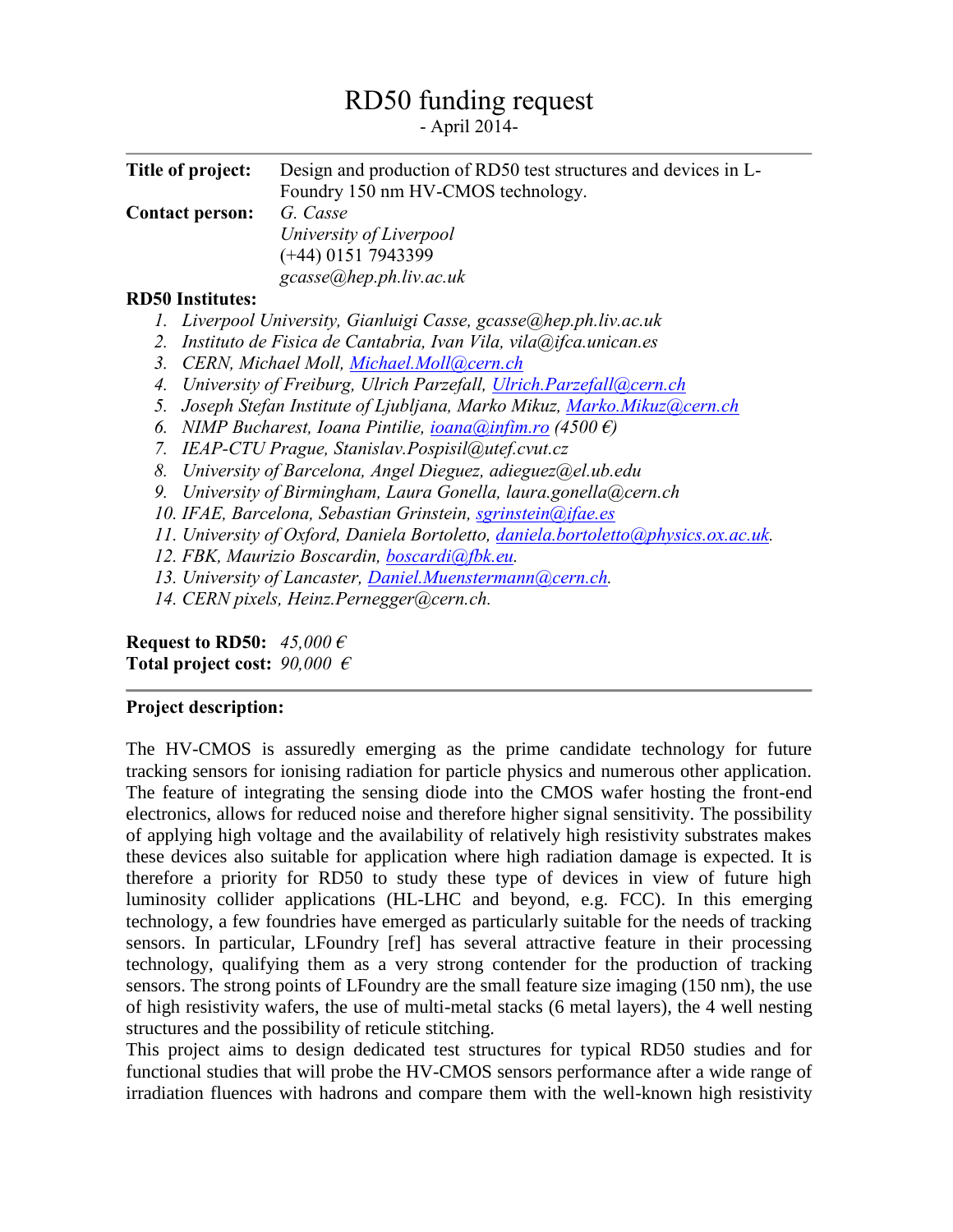## RD50 funding request

- April 2014-

| Title of project:                                                                                      | Design and production of RD50 test structures and devices in L-<br>Foundry 150 nm HV-CMOS technology. |
|--------------------------------------------------------------------------------------------------------|-------------------------------------------------------------------------------------------------------|
| <b>Contact person:</b>                                                                                 | G. Casse                                                                                              |
|                                                                                                        | University of Liverpool                                                                               |
|                                                                                                        | $(+44)$ 0151 7943399                                                                                  |
|                                                                                                        |                                                                                                       |
|                                                                                                        | gcasse@hep.ph.liv.ac.uk                                                                               |
| <b>RD50</b> Institutes:                                                                                |                                                                                                       |
| Ι.                                                                                                     | Liverpool University, Gianluigi Casse, gcasse@hep.ph.liv.ac.uk                                        |
| 2.                                                                                                     | Instituto de Fisica de Cantabria, Ivan Vila, vila@ifca.unican.es                                      |
| 3 <sub>1</sub><br>CERN, Michael Moll, Michael.Moll@cern.ch                                             |                                                                                                       |
| 4.<br>University of Freiburg, Ulrich Parzefall, Ulrich.Parzefall@cern.ch                               |                                                                                                       |
| Joseph Stefan Institute of Ljubljana, Marko Mikuz, Marko.Mikuz@cern.ch<br>5.                           |                                                                                                       |
| NIMP Bucharest, Ioana Pintilie, $\frac{ioana(0) \cdot n \cdot f(m, r \cdot o)}{f(4500 \cdot f)}$<br>6. |                                                                                                       |
| IEAP-CTU Prague, Stanislav.Pospisil@utef.cvut.cz<br>7.                                                 |                                                                                                       |
| 8.                                                                                                     | University of Barcelona, Angel Dieguez, adieguez@el.ub.edu                                            |
| 9.                                                                                                     | University of Birmingham, Laura Gonella, laura.gonella@cern.ch                                        |
| 10. IFAE, Barcelona, Sebastian Grinstein, sgrinstein@ifae.es                                           |                                                                                                       |
| 11. University of Oxford, Daniela Bortoletto, daniela.bortoletto@physics.ox.ac.uk.                     |                                                                                                       |
| 12. FBK, Maurizio Boscardin, boscardi@fbk.eu.                                                          |                                                                                                       |
| 13. University of Lancaster, Daniel. Muenstermann@cern.ch.                                             |                                                                                                       |
|                                                                                                        | 14. CERN pixels, Heinz.Pernegger@cern.ch.                                                             |
| Request to RD50: $45,000 \in$                                                                          |                                                                                                       |

**Total project cost:** *90,000 €*

## **Project description:**

The HV-CMOS is assuredly emerging as the prime candidate technology for future tracking sensors for ionising radiation for particle physics and numerous other application. The feature of integrating the sensing diode into the CMOS wafer hosting the front-end electronics, allows for reduced noise and therefore higher signal sensitivity. The possibility of applying high voltage and the availability of relatively high resistivity substrates makes these devices also suitable for application where high radiation damage is expected. It is therefore a priority for RD50 to study these type of devices in view of future high luminosity collider applications (HL-LHC and beyond, e.g. FCC). In this emerging technology, a few foundries have emerged as particularly suitable for the needs of tracking sensors. In particular, LFoundry [ref] has several attractive feature in their processing technology, qualifying them as a very strong contender for the production of tracking sensors. The strong points of LFoundry are the small feature size imaging (150 nm), the use of high resistivity wafers, the use of multi-metal stacks (6 metal layers), the 4 well nesting structures and the possibility of reticule stitching.

This project aims to design dedicated test structures for typical RD50 studies and for functional studies that will probe the HV-CMOS sensors performance after a wide range of irradiation fluences with hadrons and compare them with the well-known high resistivity